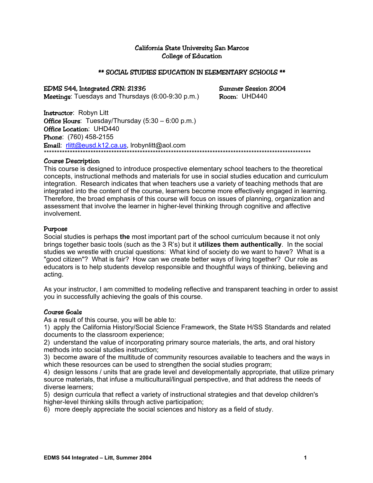# California State University San Marcos College of Education

#### \*\* SOCIAL STUDIES EDUCATION IN ELEMENTARY SCHOOLS \*\*

EDMS 544, Integrated CRN: 21336 Summer Session 2004 Meetings: Tuesdays and Thursdays (6:00-9:30 p.m.) Room: UHD440

Instructor: Robyn Litt **Office Hours:** Tuesday/Thursday  $(5:30 - 6:00 \text{ p.m.})$ Office Location: UHD440 Phone: (760) 458-2155 Email: rlitt@eusd.k12.ca.us, Irobynlitt@aol.com \*\*\*\*\*\*\*\*\*\*\*\*\*\*\*\*\*\*\*\*\*\*\*\*\*\*\*\*\*\*\*\*\*\*\*\*\*\*\*\*\*\*\*\*\*\*\*\*\*\*\*\*\*\*\*\*\*\*\*\*\*\*\*\*\*\*\*\*\*\*\*\*\*\*\*\*\*\*\*\*\*\*\*\*\*\*\*\*\*\*\*\*\*\*\*\*\*\*\*\*\*\*\*

#### Course Description

This course is designed to introduce prospective elementary school teachers to the theoretical concepts, instructional methods and materials for use in social studies education and curriculum integration. Research indicates that when teachers use a variety of teaching methods that are integrated into the content of the course, learners become more effectively engaged in learning. Therefore, the broad emphasis of this course will focus on issues of planning, organization and assessment that involve the learner in higher-level thinking through cognitive and affective involvement.

### Purpose

Social studies is perhaps **the** most important part of the school curriculum because it not only brings together basic tools (such as the 3 R's) but it **utilizes them authentically**. In the social studies we wrestle with crucial questions: What kind of society do we want to have? What is a "good citizen"? What is fair? How can we create better ways of living together? Our role as educators is to help students develop responsible and thoughtful ways of thinking, believing and acting.

As your instructor, I am committed to modeling reflective and transparent teaching in order to assist you in successfully achieving the goals of this course.

# Course Goals

As a result of this course, you will be able to:

1) apply the California History/Social Science Framework, the State H/SS Standards and related documents to the classroom experience;

2) understand the value of incorporating primary source materials, the arts, and oral history methods into social studies instruction;

3) become aware of the multitude of community resources available to teachers and the ways in which these resources can be used to strengthen the social studies program;

4) design lessons / units that are grade level and developmentally appropriate, that utilize primary source materials, that infuse a multicultural/lingual perspective, and that address the needs of diverse learners;

5) design curricula that reflect a variety of instructional strategies and that develop children's higher-level thinking skills through active participation;

6) more deeply appreciate the social sciences and history as a field of study.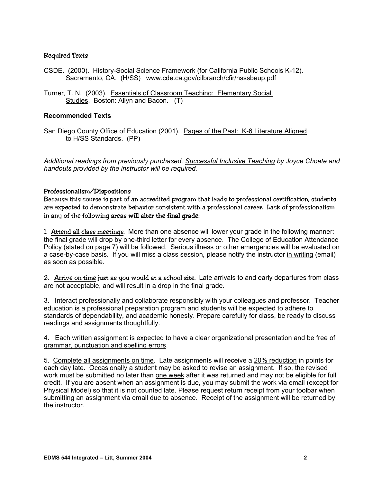# Required Texts

- CSDE. (2000). History-Social Science Framework (for California Public Schools K-12). Sacramento, CA. (H/SS) www.cde.ca.gov/cilbranch/cfir/hsssbeup.pdf
- Turner, T. N. (2003). Essentials of Classroom Teaching: Elementary Social Studies. Boston: Allyn and Bacon. (T)

## **Recommended Texts**

San Diego County Office of Education (2001). Pages of the Past: K-6 Literature Aligned to H/SS Standards. (PP)

*Additional readings from previously purchased, Successful Inclusive Teaching by Joyce Choate and handouts provided by the instructor will be required.* 

#### Professionalism/Dispositions

Because this course is part of an accredited program that leads to professional certification, students are expected to demonstrate behavior consistent with a professional career. Lack of professionalism in any of the following areas will alter the final grade:

1. Attend all class meetings. More than one absence will lower your grade in the following manner: the final grade will drop by one-third letter for every absence. The College of Education Attendance Policy (stated on page 7) will be followed. Serious illness or other emergencies will be evaluated on a case-by-case basis. If you will miss a class session*,* please notify the instructor in writing (email) as soon as possible.

2. Arrive on time just as you would at a school site. Late arrivals to and early departures from class are not acceptable, and will result in a drop in the final grade.

3. Interact professionally and collaborate responsibly with your colleagues and professor. Teacher education is a professional preparation program and students will be expected to adhere to standards of dependability, and academic honesty. Prepare carefully for class, be ready to discuss readings and assignments thoughtfully.

#### 4. Each written assignment is expected to have a clear organizational presentation and be free of grammar, punctuation and spelling errors.

5. Complete all assignments on time. Late assignments will receive a 20% reduction in points for each day late. Occasionally a student may be asked to revise an assignment. If so, the revised work must be submitted no later than one week after it was returned and may not be eligible for full credit. If you are absent when an assignment is due, you may submit the work via email (except for Physical Model) so that it is not counted late. Please request return receipt from your toolbar when submitting an assignment via email due to absence. Receipt of the assignment will be returned by the instructor.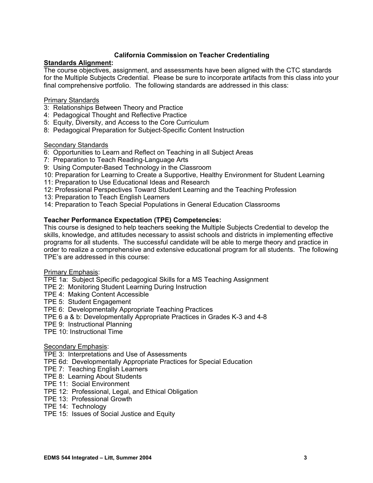# **California Commission on Teacher Credentialing**

# **Standards Alignment:**

The course objectives, assignment, and assessments have been aligned with the CTC standards for the Multiple Subjects Credential. Please be sure to incorporate artifacts from this class into your final comprehensive portfolio. The following standards are addressed in this class:

### Primary Standards

- 3: Relationships Between Theory and Practice
- 4: Pedagogical Thought and Reflective Practice
- 5: Equity, Diversity, and Access to the Core Curriculum
- 8: Pedagogical Preparation for Subject-Specific Content Instruction

### **Secondary Standards**

- 6: Opportunities to Learn and Reflect on Teaching in all Subject Areas
- 7: Preparation to Teach Reading-Language Arts
- 9: Using Computer-Based Technology in the Classroom
- 10: Preparation for Learning to Create a Supportive, Healthy Environment for Student Learning
- 11: Preparation to Use Educational Ideas and Research
- 12: Professional Perspectives Toward Student Learning and the Teaching Profession
- 13: Preparation to Teach English Learners
- 14: Preparation to Teach Special Populations in General Education Classrooms

### **Teacher Performance Expectation (TPE) Competencies:**

This course is designed to help teachers seeking the Multiple Subjects Credential to develop the skills, knowledge, and attitudes necessary to assist schools and districts in implementing effective programs for all students. The successful candidate will be able to merge theory and practice in order to realize a comprehensive and extensive educational program for all students. The following TPE's are addressed in this course:

#### Primary Emphasis:

TPE 1a: Subject Specific pedagogical Skills for a MS Teaching Assignment

- TPE 2: Monitoring Student Learning During Instruction
- TPE 4: Making Content Accessible
- TPE 5: Student Engagement
- TPE 6: Developmentally Appropriate Teaching Practices
- TPE 6 a & b: Developmentally Appropriate Practices in Grades K-3 and 4-8
- TPE 9: Instructional Planning
- TPE 10: Instructional Time

#### **Secondary Emphasis:**

TPE 3: Interpretations and Use of Assessments

- TPE 6d: Developmentally Appropriate Practices for Special Education
- TPE 7: Teaching English Learners
- TPE 8: Learning About Students
- TPE 11: Social Environment
- TPE 12: Professional, Legal, and Ethical Obligation
- TPE 13: Professional Growth
- TPE 14: Technology
- TPE 15: Issues of Social Justice and Equity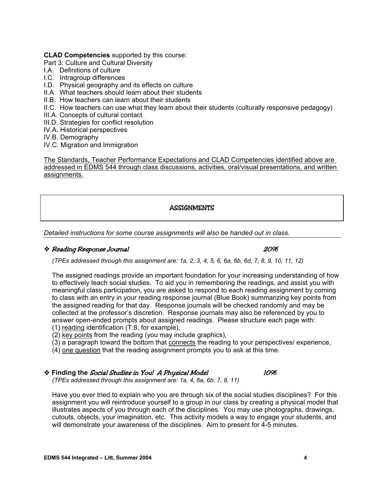### **CLAD Competencies** supported by this course:

Part 3: Culture and Cultural Diversity

- I.A. Definitions of culture
- I.C. Intragroup differences
- I.D. Physical geography and its effects on culture
- II.A What teachers should learn about their students
- II.B. How teachers can learn about their students
- II.C. How teachers can use what they learn about their students (culturally responsive pedagogy)
- III.A. Concepts of cultural contact
- III.D. Strategies for conflict resolution
- IV.A. Historical perspectives
- IV.B. Demography
- IV.C. Migration and Immigration

The Standards, Teacher Performance Expectations and CLAD Competencies identified above are addressed in EDMS 544 through class discussions, activities, oral/visual presentations, and written assignments.

# **ASSIGNMENTS**

*Detailed instructions for some course assignments will also be handed out in class.* 

# Reading Response Journal 20%

*(TPEs addressed through this assignment are: 1a, 2, 3, 4, 5, 6, 6a, 6b, 6d, 7, 8, 9, 10, 11, 12)* 

The assigned readings provide an important foundation for your increasing understanding of how to effectively teach social studies. To aid you in remembering the readings, and assist you with meaningful class participation, you are asked to respond to each reading assignment by coming to class with an entry in your reading response journal (Blue Book) summarizing key points from the assigned reading for that day. Response journals will be checked randomly and may be collected at the professor's discretion. Response journals may also be referenced by you to answer open-ended prompts about assigned readings. Please structure each page with: (1) reading identification (T:8, for example),

(2) key points from the reading (you may include graphics),

(3) a paragraph toward the bottom that connects the reading to your perspectives/ experience,

(4) one question that the reading assignment prompts you to ask at this time.

# **Example 10%** Finding the *Social Studies in You! A Physical Model* 10%

*(TPEs addressed through this assignment are: 1a, 4, 6a, 6b, 7, 8, 11)* 

Have you ever tried to explain who you are through six of the social studies disciplines? For this assignment you will reintroduce yourself to a group in our class by creating a physical model that illustrates aspects of you through each of the disciplines. You may use photographs, drawings, cutouts, objects, your imagination, etc. This activity models a way to engage your students, and will demonstrate your awareness of the disciplines. Aim to present for 4-5 minutes.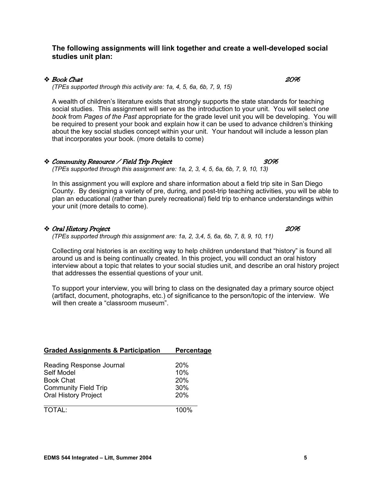# **The following assignments will link together and create a well-developed social studies unit plan:**

# $\bullet$  Book Chat  $20\%$

*(TPEs supported through this activity are: 1a, 4, 5, 6a, 6b, 7, 9, 15)* 

A wealth of children's literature exists that strongly supports the state standards for teaching social studies. This assignment will serve as the introduction to your unit. You will select *one book* from *Pages of the Past* appropriate for the grade level unit you will be developing. You will be required to present your book and explain how it can be used to advance children's thinking about the key social studies concept within your unit. Your handout will include a lesson plan that incorporates your book. (more details to come)

#### Community Resource / Field Trip Project 30% *(TPEs supported through this assignment are: 1a, 2, 3, 4, 5, 6a, 6b, 7, 9, 10, 13)*

In this assignment you will explore and share information about a field trip site in San Diego County. By designing a variety of pre, during, and post-trip teaching activities, you will be able to plan an educational (rather than purely recreational) field trip to enhance understandings within your unit (more details to come).

# Oral History Project 20%

*(TPEs supported through this assignment are: 1a, 2, 3,4, 5, 6a, 6b, 7, 8, 9, 10, 11)* 

Collecting oral histories is an exciting way to help children understand that "history" is found all around us and is being continually created. In this project, you will conduct an oral history interview about a topic that relates to your social studies unit, and describe an oral history project that addresses the essential questions of your unit.

To support your interview, you will bring to class on the designated day a primary source object (artifact, document, photographs, etc.) of significance to the person/topic of the interview. We will then create a "classroom museum".

| <b>Graded Assignments &amp; Participation</b> | Percentage |
|-----------------------------------------------|------------|
|                                               |            |
| Reading Response Journal                      | 20%        |
| Self Model                                    | 10%        |
| <b>Book Chat</b>                              | <b>20%</b> |
| <b>Community Field Trip</b>                   | 30%        |
| <b>Oral History Project</b>                   | 20%        |
|                                               |            |
| <b>TOTAL:</b>                                 | 1በበ%       |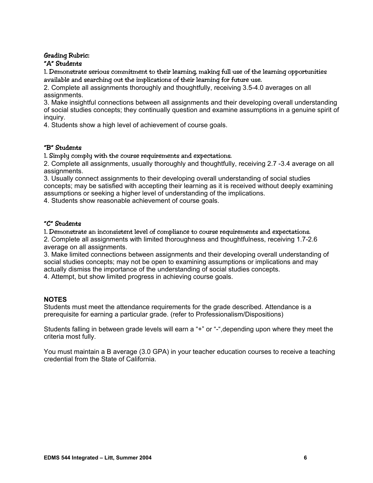#### Grading Rubric: "A" Students

1. Demonstrate serious commitment to their learning, making full use of the learning opportunities available and searching out the implications of their learning for future use.

2. Complete all assignments thoroughly and thoughtfully, receiving 3.5-4.0 averages on all assignments.

3. Make insightful connections between all assignments and their developing overall understanding of social studies concepts; they continually question and examine assumptions in a genuine spirit of inquiry.

4. Students show a high level of achievement of course goals.

# "B" Students

1. Simply comply with the course requirements and expectations.

2. Complete all assignments, usually thoroughly and thoughtfully, receiving 2.7 -3.4 average on all assignments.

3. Usually connect assignments to their developing overall understanding of social studies concepts; may be satisfied with accepting their learning as it is received without deeply examining assumptions or seeking a higher level of understanding of the implications.

4. Students show reasonable achievement of course goals.

# "C" Students

1. Demonstrate an inconsistent level of compliance to course requirements and expectations.

2. Complete all assignments with limited thoroughness and thoughtfulness, receiving 1.7-2.6 average on all assignments.

3. Make limited connections between assignments and their developing overall understanding of social studies concepts; may not be open to examining assumptions or implications and may actually dismiss the importance of the understanding of social studies concepts.

4. Attempt, but show limited progress in achieving course goals.

# **NOTES**

Students must meet the attendance requirements for the grade described. Attendance is a prerequisite for earning a particular grade. (refer to Professionalism/Dispositions)

Students falling in between grade levels will earn a "+" or "-",depending upon where they meet the criteria most fully.

You must maintain a B average (3.0 GPA) in your teacher education courses to receive a teaching credential from the State of California.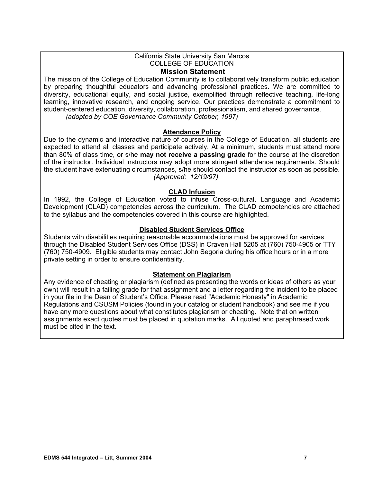#### California State University San Marcos COLLEGE OF EDUCATION **Mission Statement**

The mission of the College of Education Community is to collaboratively transform public education by preparing thoughtful educators and advancing professional practices. We are committed to diversity, educational equity, and social justice, exemplified through reflective teaching, life-long learning, innovative research, and ongoing service. Our practices demonstrate a commitment to student-centered education, diversity, collaboration, professionalism, and shared governance. *(adopted by COE Governance Community October, 1997)*

# **Attendance Policy**

Due to the dynamic and interactive nature of courses in the College of Education, all students are expected to attend all classes and participate actively. At a minimum, students must attend more than 80% of class time, or s/he **may not receive a passing grade** for the course at the discretion of the instructor. Individual instructors may adopt more stringent attendance requirements. Should the student have extenuating circumstances, s/he should contact the instructor as soon as possible. *(Approved: 12/19/97)* 

#### **CLAD Infusion**

In 1992, the College of Education voted to infuse Cross-cultural, Language and Academic Development (CLAD) competencies across the curriculum. The CLAD competencies are attached to the syllabus and the competencies covered in this course are highlighted.

#### **Disabled Student Services Office**

Students with disabilities requiring reasonable accommodations must be approved for services through the Disabled Student Services Office (DSS) in Craven Hall 5205 at (760) 750-4905 or TTY (760) 750-4909. Eligible students may contact John Segoria during his office hours or in a more private setting in order to ensure confidentiality.

#### **Statement on Plagiarism**

Any evidence of cheating or plagiarism (defined as presenting the words or ideas of others as your own) will result in a failing grade for that assignment and a letter regarding the incident to be placed in your file in the Dean of Student's Office. Please read "Academic Honesty" in Academic Regulations and CSUSM Policies (found in your catalog or student handbook) and see me if you have any more questions about what constitutes plagiarism or cheating. Note that on written assignments exact quotes must be placed in quotation marks. All quoted and paraphrased work must be cited in the text.